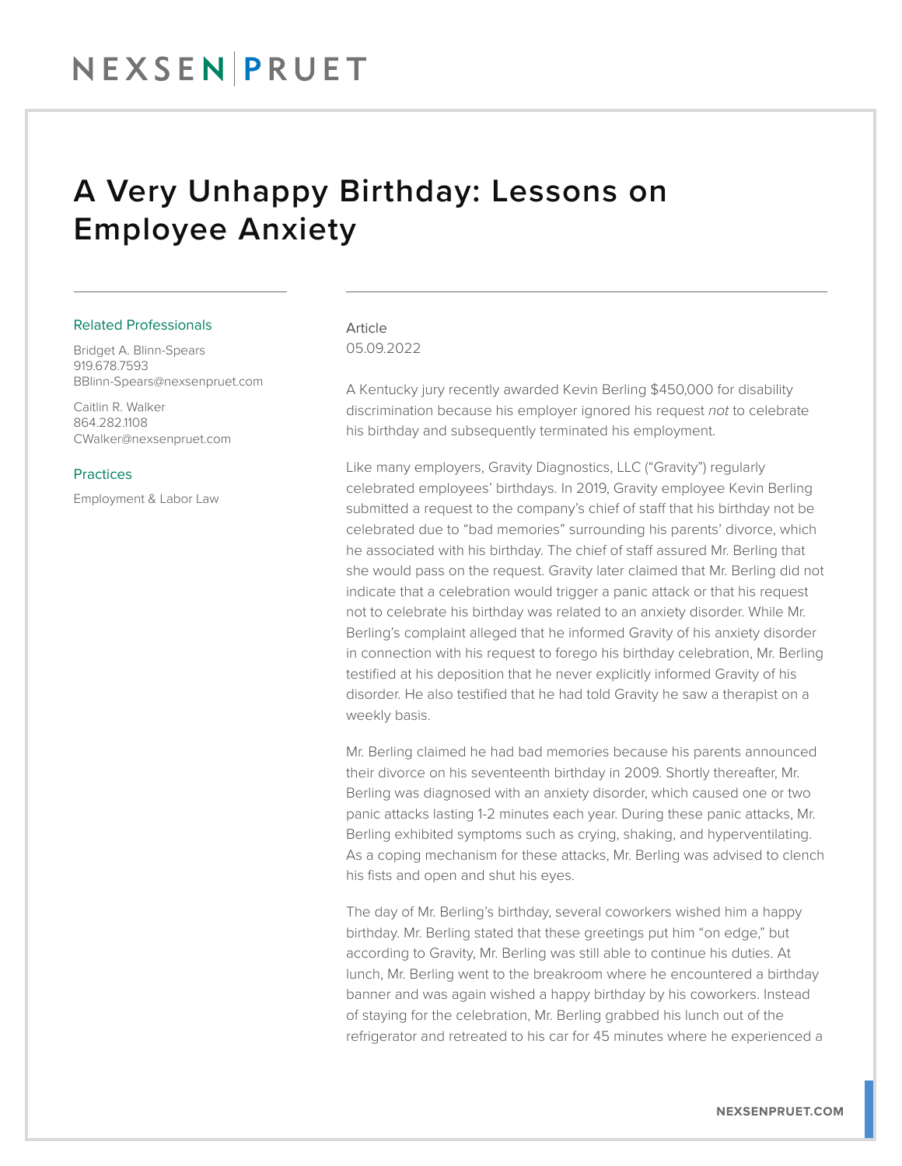### NEXSENPRUET

### A Very Unhappy Birthday: Lessons on Employee Anxiety

#### Related Professionals

Bridget A. Blinn-Spears 919.678.7593 BBlinn-Spears@nexsenpruet.com

Caitlin R. Walker 864.282.1108 CWalker@nexsenpruet.com

#### **Practices**

Employment & Labor Law

### Article 05.09.2022

A Kentucky jury recently awarded Kevin Berling \$450,000 for disability discrimination because his employer ignored his request *not* to celebrate his birthday and subsequently terminated his employment.

Like many employers, Gravity Diagnostics, LLC ("Gravity") regularly celebrated employees' birthdays. In 2019, Gravity employee Kevin Berling submitted a request to the company's chief of staff that his birthday not be celebrated due to "bad memories" surrounding his parents' divorce, which he associated with his birthday. The chief of staff assured Mr. Berling that she would pass on the request. Gravity later claimed that Mr. Berling did not indicate that a celebration would trigger a panic attack or that his request not to celebrate his birthday was related to an anxiety disorder. While Mr. Berling's complaint alleged that he informed Gravity of his anxiety disorder in connection with his request to forego his birthday celebration, Mr. Berling testified at his deposition that he never explicitly informed Gravity of his disorder. He also testified that he had told Gravity he saw a therapist on a weekly basis.

Mr. Berling claimed he had bad memories because his parents announced their divorce on his seventeenth birthday in 2009. Shortly thereafter, Mr. Berling was diagnosed with an anxiety disorder, which caused one or two panic attacks lasting 1-2 minutes each year. During these panic attacks, Mr. Berling exhibited symptoms such as crying, shaking, and hyperventilating. As a coping mechanism for these attacks, Mr. Berling was advised to clench his fists and open and shut his eyes.

The day of Mr. Berling's birthday, several coworkers wished him a happy birthday. Mr. Berling stated that these greetings put him "on edge," but according to Gravity, Mr. Berling was still able to continue his duties. At lunch, Mr. Berling went to the breakroom where he encountered a birthday banner and was again wished a happy birthday by his coworkers. Instead of staying for the celebration, Mr. Berling grabbed his lunch out of the refrigerator and retreated to his car for 45 minutes where he experienced a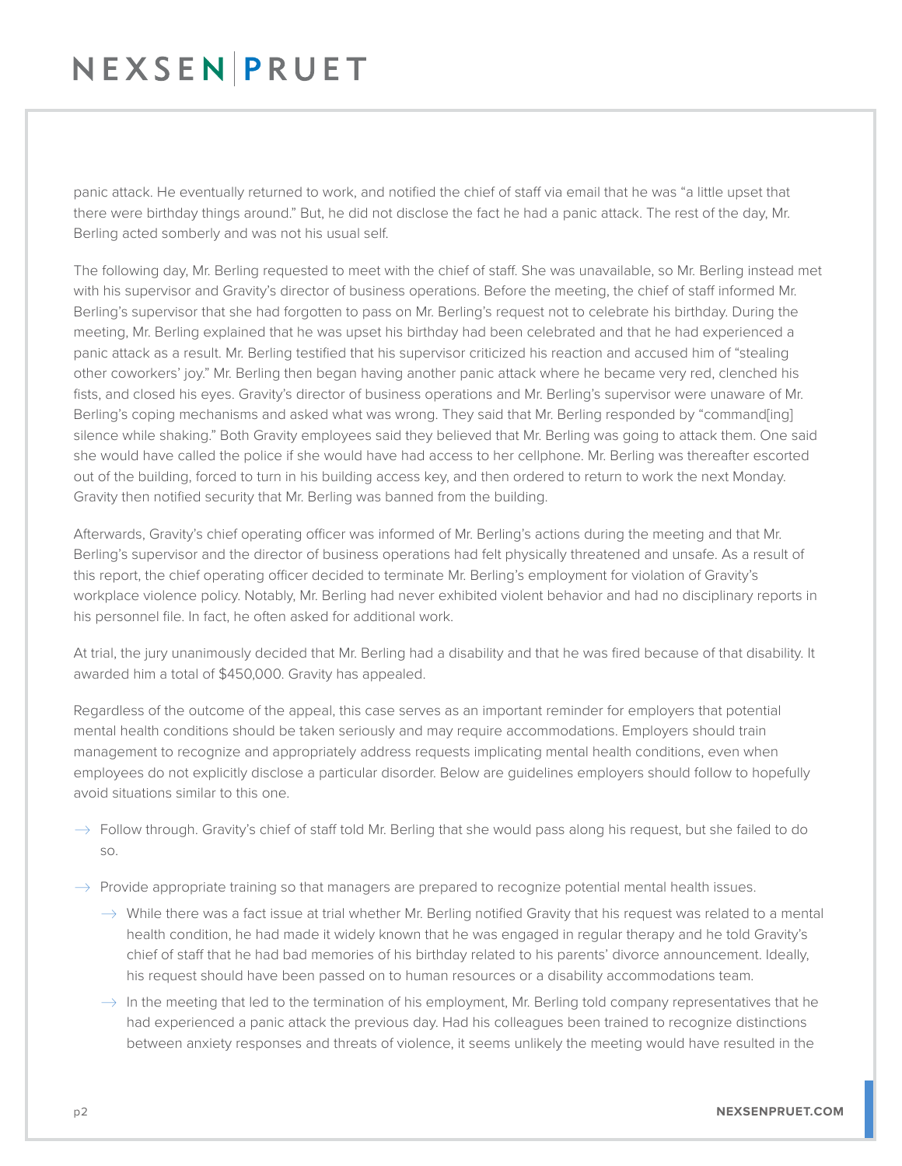## NEXSENPRUET

panic attack. He eventually returned to work, and notified the chief of staff via email that he was "a little upset that there were birthday things around." But, he did not disclose the fact he had a panic attack. The rest of the day, Mr. Berling acted somberly and was not his usual self.

The following day, Mr. Berling requested to meet with the chief of staff. She was unavailable, so Mr. Berling instead met with his supervisor and Gravity's director of business operations. Before the meeting, the chief of staff informed Mr. Berling's supervisor that she had forgotten to pass on Mr. Berling's request not to celebrate his birthday. During the meeting, Mr. Berling explained that he was upset his birthday had been celebrated and that he had experienced a panic attack as a result. Mr. Berling testified that his supervisor criticized his reaction and accused him of "stealing other coworkers' joy." Mr. Berling then began having another panic attack where he became very red, clenched his fists, and closed his eyes. Gravity's director of business operations and Mr. Berling's supervisor were unaware of Mr. Berling's coping mechanisms and asked what was wrong. They said that Mr. Berling responded by "command[ing] silence while shaking." Both Gravity employees said they believed that Mr. Berling was going to attack them. One said she would have called the police if she would have had access to her cellphone. Mr. Berling was thereafter escorted out of the building, forced to turn in his building access key, and then ordered to return to work the next Monday. Gravity then notified security that Mr. Berling was banned from the building.

Afterwards, Gravity's chief operating officer was informed of Mr. Berling's actions during the meeting and that Mr. Berling's supervisor and the director of business operations had felt physically threatened and unsafe. As a result of this report, the chief operating officer decided to terminate Mr. Berling's employment for violation of Gravity's workplace violence policy. Notably, Mr. Berling had never exhibited violent behavior and had no disciplinary reports in his personnel file. In fact, he often asked for additional work.

At trial, the jury unanimously decided that Mr. Berling had a disability and that he was fired because of that disability. It awarded him a total of \$450,000. Gravity has appealed.

Regardless of the outcome of the appeal, this case serves as an important reminder for employers that potential mental health conditions should be taken seriously and may require accommodations. Employers should train management to recognize and appropriately address requests implicating mental health conditions, even when employees do not explicitly disclose a particular disorder. Below are guidelines employers should follow to hopefully avoid situations similar to this one.

- $\rightarrow$  Follow through. Gravity's chief of staff told Mr. Berling that she would pass along his request, but she failed to do so.
- $\rightarrow$  Provide appropriate training so that managers are prepared to recognize potential mental health issues.
	- $\rightarrow$  While there was a fact issue at trial whether Mr. Berling notified Gravity that his request was related to a mental health condition, he had made it widely known that he was engaged in regular therapy and he told Gravity's chief of staff that he had bad memories of his birthday related to his parents' divorce announcement. Ideally, his request should have been passed on to human resources or a disability accommodations team.
	- $\rightarrow$  In the meeting that led to the termination of his employment, Mr. Berling told company representatives that he had experienced a panic attack the previous day. Had his colleagues been trained to recognize distinctions between anxiety responses and threats of violence, it seems unlikely the meeting would have resulted in the